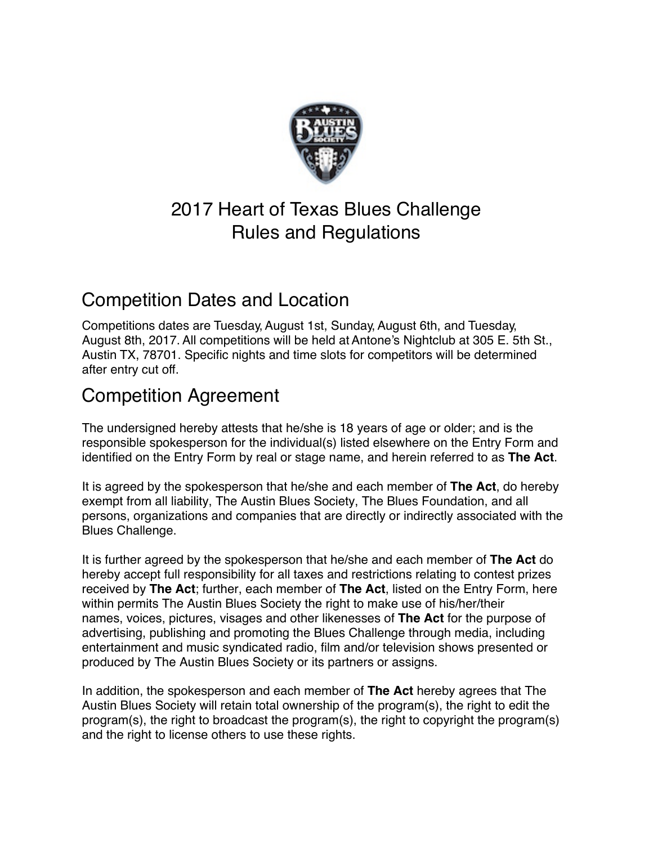

# 2017 Heart of Texas Blues Challenge Rules and Regulations

### Competition Dates and Location

 August 8th, 2017. All competitions will be held at Antone's Nightclub at 305 E. 5th St., Austin TX, 78701. Specific nights and time slots for competitors will be determined Adolff TX, TOTOT.<br>after entry cut off. Competitions dates are Tuesday, August 1st, Sunday, August 6th, and Tuesday,

### Competition Agreement

The undersigned hereby attests that he/she is 18 years of age or older; and is the responsible spokesperson for the individual(s) listed elsewhere on the Entry Form and identified on the Entry Form by real or stage name, and herein referred to as **The Act**.

It is agreed by the spokesperson that he/she and each member of **The Act**, do hereby exempt from all liability, The Austin Blues Society, The Blues Foundation, and all persons, organizations and companies that are directly or indirectly associated with the Blues Challenge.

It is further agreed by the spokesperson that he/she and each member of **The Act** do hereby accept full responsibility for all taxes and restrictions relating to contest prizes received by **The Act**; further, each member of **The Act**, listed on the Entry Form, here within permits The Austin Blues Society the right to make use of his/her/their names, voices, pictures, visages and other likenesses of **The Act** for the purpose of advertising, publishing and promoting the Blues Challenge through media, including entertainment and music syndicated radio, film and/or television shows presented or produced by The Austin Blues Society or its partners or assigns.

In addition, the spokesperson and each member of **The Act** hereby agrees that The Austin Blues Society will retain total ownership of the program(s), the right to edit the program(s), the right to broadcast the program(s), the right to copyright the program(s) and the right to license others to use these rights.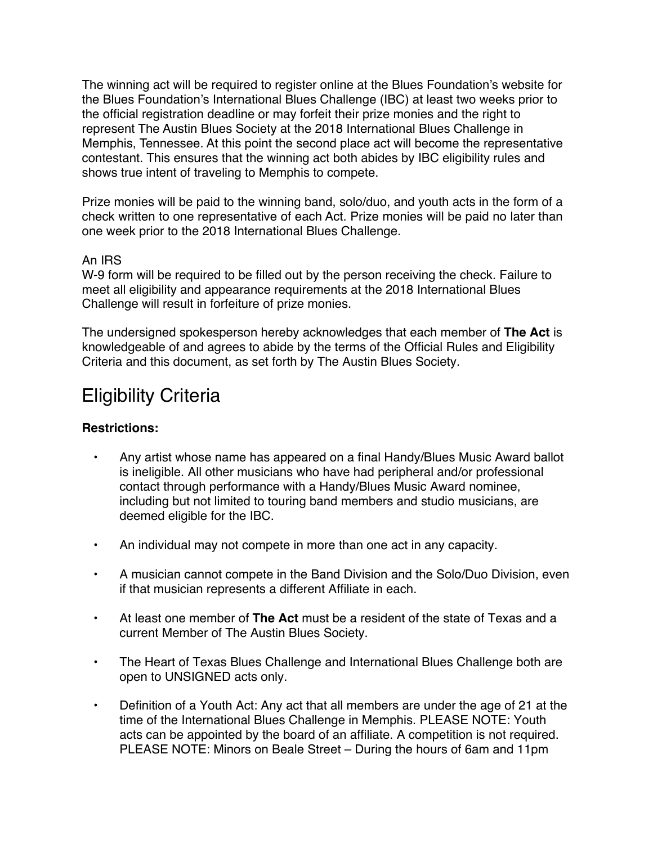The winning act will be required to register online at the Blues Foundation's website for the Blues Foundation's International Blues Challenge (IBC) at least two weeks prior to the official registration deadline or may forfeit their prize monies and the right to represent The Austin Blues Society at the 2018 International Blues Challenge in Memphis, Tennessee. At this point the second place act will become the representative contestant. This ensures that the winning act both abides by IBC eligibility rules and shows true intent of traveling to Memphis to compete.

 Prize monies will be paid to the winning band, solo/duo, and youth acts in the form of a check written to one representative of each Act. Prize monies will be paid no later than one week prior to the 2018 International Blues Challenge.

#### An IRS

 W-9 form will be required to be filled out by the person receiving the check. Failure to meet all eligibility and appearance requirements at the 2018 International Blues Challenge will result in forfeiture of prize monies.

The undersigned spokesperson hereby acknowledges that each member of **The Act** is knowledgeable of and agrees to abide by the terms of the Official Rules and Eligibility Criteria and this document, as set forth by The Austin Blues Society.

### Eligibility Criteria

#### **Restrictions:**

- Any artist whose name has appeared on a final Handy/Blues Music Award ballot is ineligible. All other musicians who have had peripheral and/or professional contact through performance with a Handy/Blues Music Award nominee, including but not limited to touring band members and studio musicians, are deemed eligible for the IBC.
- An individual may not compete in more than one act in any capacity.
- A musician cannot compete in the Band Division and the Solo/Duo Division, even if that musician represents a different Affiliate in each.
- At least one member of **The Act** must be a resident of the state of Texas and a current Member of The Austin Blues Society.
- The Heart of Texas Blues Challenge and International Blues Challenge both are open to UNSIGNED acts only.
- Definition of a Youth Act: Any act that all members are under the age of 21 at the time of the International Blues Challenge in Memphis. PLEASE NOTE: Youth acts can be appointed by the board of an affiliate. A competition is not required. PLEASE NOTE: Minors on Beale Street – During the hours of 6am and 11pm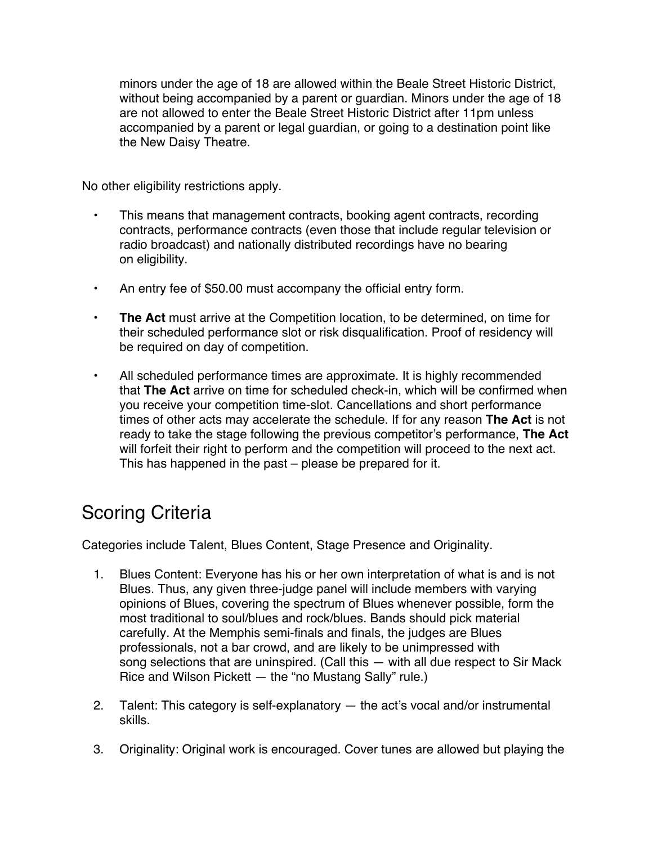minors under the age of 18 are allowed within the Beale Street Historic District, without being accompanied by a parent or guardian. Minors under the age of 18 are not allowed to enter the Beale Street Historic District after 11pm unless accompanied by a parent or legal guardian, or going to a destination point like the New Daisy Theatre.

No other eligibility restrictions apply.

- This means that management contracts, booking agent contracts, recording contracts, performance contracts (even those that include regular television or radio broadcast) and nationally distributed recordings have no bearing on eligibility.
- An entry fee of \$50.00 must accompany the official entry form.
- **• The Act** must arrive at the Competition location, to be determined, on time for their scheduled performance slot or risk disqualification. Proof of residency will be required on day of competition.
- All scheduled performance times are approximate. It is highly recommended that **The Act** arrive on time for scheduled check-in, which will be confirmed when you receive your competition time-slot. Cancellations and short performance times of other acts may accelerate the schedule. If for any reason **The Act** is not ready to take the stage following the previous competitor's performance, **The Act** will forfeit their right to perform and the competition will proceed to the next act. This has happened in the past – please be prepared for it.

# Scoring Criteria

Categories include Talent, Blues Content, Stage Presence and Originality.

- 1. Blues Content: Everyone has his or her own interpretation of what is and is not Blues. Thus, any given three-judge panel will include members with varying opinions of Blues, covering the spectrum of Blues whenever possible, form the most traditional to soul/blues and rock/blues. Bands should pick material carefully. At the Memphis semi-finals and finals, the judges are Blues professionals, not a bar crowd, and are likely to be unimpressed with song selections that are uninspired. (Call this — with all due respect to Sir Mack Rice and Wilson Pickett — the "no Mustang Sally" rule.)
- 2. Talent: This category is self-explanatory the act's vocal and/or instrumental skills.
- 3. Originality: Original work is encouraged. Cover tunes are allowed but playing the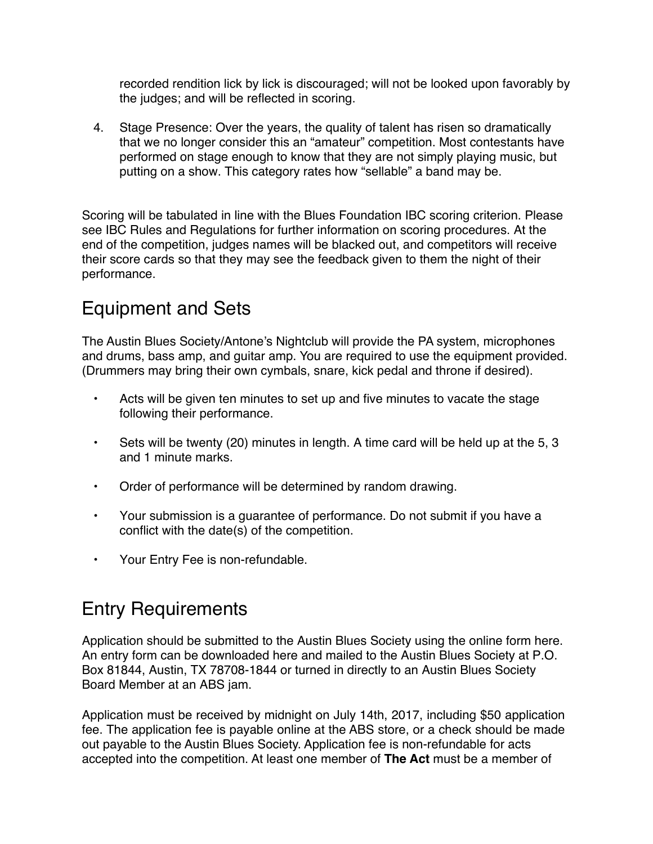recorded rendition lick by lick is discouraged; will not be looked upon favorably by the judges; and will be reflected in scoring.

4. Stage Presence: Over the years, the quality of talent has risen so dramatically that we no longer consider this an "amateur" competition. Most contestants have performed on stage enough to know that they are not simply playing music, but putting on a show. This category rates how "sellable" a band may be.

Scoring will be tabulated in line with the Blues Foundation IBC scoring criterion. Please see IBC Rules and Regulations for further information on scoring procedures. At the end of the competition, judges names will be blacked out, and competitors will receive their score cards so that they may see the feedback given to them the night of their performance.

# Equipment and Sets

 The Austin Blues Society/Antone's Nightclub will provide the PA system, microphones and drums, bass amp, and guitar amp. You are required to use the equipment provided. (Drummers may bring their own cymbals, snare, kick pedal and throne if desired).

- Acts will be given ten minutes to set up and five minutes to vacate the stage following their performance.
- Sets will be twenty (20) minutes in length. A time card will be held up at the 5, 3 and 1 minute marks.
- Order of performance will be determined by random drawing.
- Your submission is a guarantee of performance. Do not submit if you have a conflict with the date(s) of the competition.
- Your Entry Fee is non-refundable.

# Entry Requirements

Application should be submitted to the Austin Blues Society using the online form here. An entry form can be downloaded here and mailed to the Austin Blues Society at P.O. Box 81844, Austin, TX 78708-1844 or turned in directly to an Austin Blues Society Board Member at an ABS jam.

 Application must be received by midnight on July 14th, 2017, including \$50 application fee. The application fee is payable online at the ABS store, or a check should be made out payable to the Austin Blues Society. Application fee is non-refundable for acts accepted into the competition. At least one member of **The Act** must be a member of